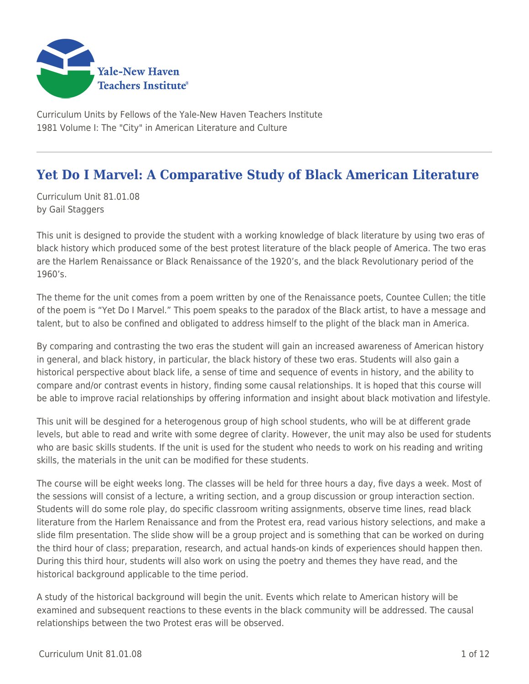

Curriculum Units by Fellows of the Yale-New Haven Teachers Institute 1981 Volume I: The "City" in American Literature and Culture

# **Yet Do I Marvel: A Comparative Study of Black American Literature**

Curriculum Unit 81.01.08 by Gail Staggers

This unit is designed to provide the student with a working knowledge of black literature by using two eras of black history which produced some of the best protest literature of the black people of America. The two eras are the Harlem Renaissance or Black Renaissance of the 1920's, and the black Revolutionary period of the 1960's.

The theme for the unit comes from a poem written by one of the Renaissance poets, Countee Cullen; the title of the poem is "Yet Do I Marvel." This poem speaks to the paradox of the Black artist, to have a message and talent, but to also be confined and obligated to address himself to the plight of the black man in America.

By comparing and contrasting the two eras the student will gain an increased awareness of American history in general, and black history, in particular, the black history of these two eras. Students will also gain a historical perspective about black life, a sense of time and sequence of events in history, and the ability to compare and/or contrast events in history, finding some causal relationships. It is hoped that this course will be able to improve racial relationships by offering information and insight about black motivation and lifestyle.

This unit will be desgined for a heterogenous group of high school students, who will be at different grade levels, but able to read and write with some degree of clarity. However, the unit may also be used for students who are basic skills students. If the unit is used for the student who needs to work on his reading and writing skills, the materials in the unit can be modified for these students.

The course will be eight weeks long. The classes will be held for three hours a day, five days a week. Most of the sessions will consist of a lecture, a writing section, and a group discussion or group interaction section. Students will do some role play, do specific classroom writing assignments, observe time lines, read black literature from the Harlem Renaissance and from the Protest era, read various history selections, and make a slide film presentation. The slide show will be a group project and is something that can be worked on during the third hour of class; preparation, research, and actual hands-on kinds of experiences should happen then. During this third hour, students will also work on using the poetry and themes they have read, and the historical background applicable to the time period.

A study of the historical background will begin the unit. Events which relate to American history will be examined and subsequent reactions to these events in the black community will be addressed. The causal relationships between the two Protest eras will be observed.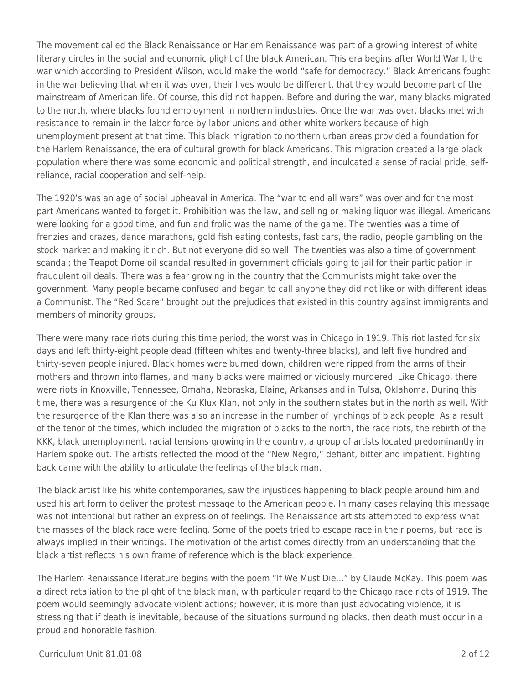The movement called the Black Renaissance or Harlem Renaissance was part of a growing interest of white literary circles in the social and economic plight of the black American. This era begins after World War I, the war which according to President Wilson, would make the world "safe for democracy." Black Americans fought in the war believing that when it was over, their lives would be different, that they would become part of the mainstream of American life. Of course, this did not happen. Before and during the war, many blacks migrated to the north, where blacks found employment in northern industries. Once the war was over, blacks met with resistance to remain in the labor force by labor unions and other white workers because of high unemployment present at that time. This black migration to northern urban areas provided a foundation for the Harlem Renaissance, the era of cultural growth for black Americans. This migration created a large black population where there was some economic and political strength, and inculcated a sense of racial pride, selfreliance, racial cooperation and self-help.

The 1920's was an age of social upheaval in America. The "war to end all wars" was over and for the most part Americans wanted to forget it. Prohibition was the law, and selling or making liquor was illegal. Americans were looking for a good time, and fun and frolic was the name of the game. The twenties was a time of frenzies and crazes, dance marathons, gold fish eating contests, fast cars, the radio, people gambling on the stock market and making it rich. But not everyone did so well. The twenties was also a time of government scandal; the Teapot Dome oil scandal resulted in government officials going to jail for their participation in fraudulent oil deals. There was a fear growing in the country that the Communists might take over the government. Many people became confused and began to call anyone they did not like or with different ideas a Communist. The "Red Scare" brought out the prejudices that existed in this country against immigrants and members of minority groups.

There were many race riots during this time period; the worst was in Chicago in 1919. This riot lasted for six days and left thirty-eight people dead (fifteen whites and twenty-three blacks), and left five hundred and thirty-seven people injured. Black homes were burned down, children were ripped from the arms of their mothers and thrown into flames, and many blacks were maimed or viciously murdered. Like Chicago, there were riots in Knoxville, Tennessee, Omaha, Nebraska, Elaine, Arkansas and in Tulsa, Oklahoma. During this time, there was a resurgence of the Ku Klux Klan, not only in the southern states but in the north as well. With the resurgence of the Klan there was also an increase in the number of lynchings of black people. As a result of the tenor of the times, which included the migration of blacks to the north, the race riots, the rebirth of the KKK, black unemployment, racial tensions growing in the country, a group of artists located predominantly in Harlem spoke out. The artists reflected the mood of the "New Negro," defiant, bitter and impatient. Fighting back came with the ability to articulate the feelings of the black man.

The black artist like his white contemporaries, saw the injustices happening to black people around him and used his art form to deliver the protest message to the American people. In many cases relaying this message was not intentional but rather an expression of feelings. The Renaissance artists attempted to express what the masses of the black race were feeling. Some of the poets tried to escape race in their poems, but race is always implied in their writings. The motivation of the artist comes directly from an understanding that the black artist reflects his own frame of reference which is the black experience.

The Harlem Renaissance literature begins with the poem "If We Must Die..." by Claude McKay. This poem was a direct retaliation to the plight of the black man, with particular regard to the Chicago race riots of 1919. The poem would seemingly advocate violent actions; however, it is more than just advocating violence, it is stressing that if death is inevitable, because of the situations surrounding blacks, then death must occur in a proud and honorable fashion.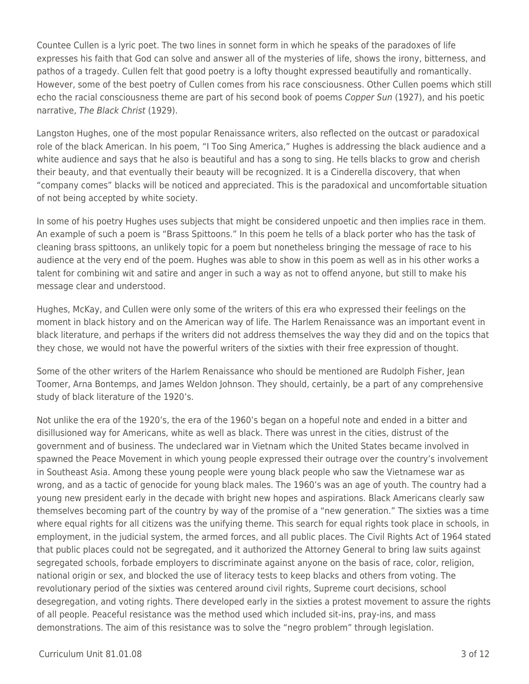Countee Cullen is a lyric poet. The two lines in sonnet form in which he speaks of the paradoxes of life expresses his faith that God can solve and answer all of the mysteries of life, shows the irony, bitterness, and pathos of a tragedy. Cullen felt that good poetry is a lofty thought expressed beautifully and romantically. However, some of the best poetry of Cullen comes from his race consciousness. Other Cullen poems which still echo the racial consciousness theme are part of his second book of poems Copper Sun (1927), and his poetic narrative, The Black Christ (1929).

Langston Hughes, one of the most popular Renaissance writers, also reflected on the outcast or paradoxical role of the black American. In his poem, "I Too Sing America," Hughes is addressing the black audience and a white audience and says that he also is beautiful and has a song to sing. He tells blacks to grow and cherish their beauty, and that eventually their beauty will be recognized. It is a Cinderella discovery, that when "company comes" blacks will be noticed and appreciated. This is the paradoxical and uncomfortable situation of not being accepted by white society.

In some of his poetry Hughes uses subjects that might be considered unpoetic and then implies race in them. An example of such a poem is "Brass Spittoons." In this poem he tells of a black porter who has the task of cleaning brass spittoons, an unlikely topic for a poem but nonetheless bringing the message of race to his audience at the very end of the poem. Hughes was able to show in this poem as well as in his other works a talent for combining wit and satire and anger in such a way as not to offend anyone, but still to make his message clear and understood.

Hughes, McKay, and Cullen were only some of the writers of this era who expressed their feelings on the moment in black history and on the American way of life. The Harlem Renaissance was an important event in black literature, and perhaps if the writers did not address themselves the way they did and on the topics that they chose, we would not have the powerful writers of the sixties with their free expression of thought.

Some of the other writers of the Harlem Renaissance who should be mentioned are Rudolph Fisher, Jean Toomer, Arna Bontemps, and James Weldon Johnson. They should, certainly, be a part of any comprehensive study of black literature of the 1920's.

Not unlike the era of the 1920's, the era of the 1960's began on a hopeful note and ended in a bitter and disillusioned way for Americans, white as well as black. There was unrest in the cities, distrust of the government and of business. The undeclared war in Vietnam which the United States became involved in spawned the Peace Movement in which young people expressed their outrage over the country's involvement in Southeast Asia. Among these young people were young black people who saw the Vietnamese war as wrong, and as a tactic of genocide for young black males. The 1960's was an age of youth. The country had a young new president early in the decade with bright new hopes and aspirations. Black Americans clearly saw themselves becoming part of the country by way of the promise of a "new generation." The sixties was a time where equal rights for all citizens was the unifying theme. This search for equal rights took place in schools, in employment, in the judicial system, the armed forces, and all public places. The Civil Rights Act of 1964 stated that public places could not be segregated, and it authorized the Attorney General to bring law suits against segregated schools, forbade employers to discriminate against anyone on the basis of race, color, religion, national origin or sex, and blocked the use of literacy tests to keep blacks and others from voting. The revolutionary period of the sixties was centered around civil rights, Supreme court decisions, school desegregation, and voting rights. There developed early in the sixties a protest movement to assure the rights of all people. Peaceful resistance was the method used which included sit-ins, pray-ins, and mass demonstrations. The aim of this resistance was to solve the "negro problem" through legislation.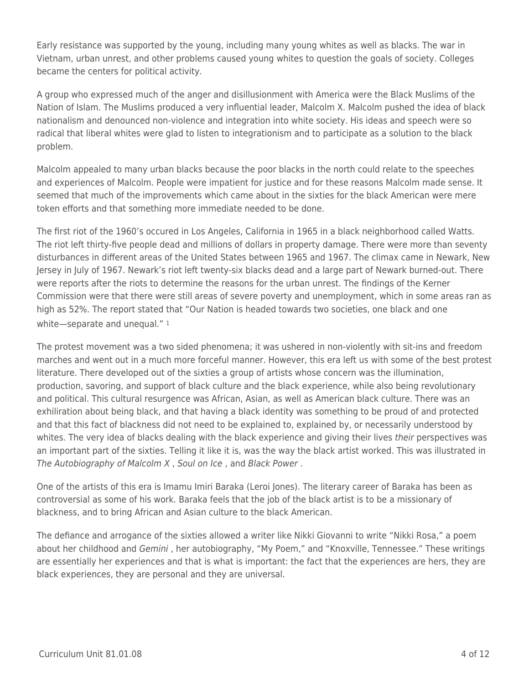Early resistance was supported by the young, including many young whites as well as blacks. The war in Vietnam, urban unrest, and other problems caused young whites to question the goals of society. Colleges became the centers for political activity.

A group who expressed much of the anger and disillusionment with America were the Black Muslims of the Nation of Islam. The Muslims produced a very influential leader, Malcolm X. Malcolm pushed the idea of black nationalism and denounced non-violence and integration into white society. His ideas and speech were so radical that liberal whites were glad to listen to integrationism and to participate as a solution to the black problem.

Malcolm appealed to many urban blacks because the poor blacks in the north could relate to the speeches and experiences of Malcolm. People were impatient for justice and for these reasons Malcolm made sense. It seemed that much of the improvements which came about in the sixties for the black American were mere token efforts and that something more immediate needed to be done.

The first riot of the 1960's occured in Los Angeles, California in 1965 in a black neighborhood called Watts. The riot left thirty-five people dead and millions of dollars in property damage. There were more than seventy disturbances in different areas of the United States between 1965 and 1967. The climax came in Newark, New Jersey in July of 1967. Newark's riot left twenty-six blacks dead and a large part of Newark burned-out. There were reports after the riots to determine the reasons for the urban unrest. The findings of the Kerner Commission were that there were still areas of severe poverty and unemployment, which in some areas ran as high as 52%. The report stated that "Our Nation is headed towards two societies, one black and one white-separate and unequal." 1

The protest movement was a two sided phenomena; it was ushered in non-violently with sit-ins and freedom marches and went out in a much more forceful manner. However, this era left us with some of the best protest literature. There developed out of the sixties a group of artists whose concern was the illumination, production, savoring, and support of black culture and the black experience, while also being revolutionary and political. This cultural resurgence was African, Asian, as well as American black culture. There was an exhiliration about being black, and that having a black identity was something to be proud of and protected and that this fact of blackness did not need to be explained to, explained by, or necessarily understood by whites. The very idea of blacks dealing with the black experience and giving their lives their perspectives was an important part of the sixties. Telling it like it is, was the way the black artist worked. This was illustrated in The Autobiography of Malcolm X , Soul on Ice , and Black Power .

One of the artists of this era is Imamu Imiri Baraka (Leroi Jones). The literary career of Baraka has been as controversial as some of his work. Baraka feels that the job of the black artist is to be a missionary of blackness, and to bring African and Asian culture to the black American.

The defiance and arrogance of the sixties allowed a writer like Nikki Giovanni to write "Nikki Rosa," a poem about her childhood and Gemini, her autobiography, "My Poem," and "Knoxville, Tennessee." These writings are essentially her experiences and that is what is important: the fact that the experiences are hers, they are black experiences, they are personal and they are universal.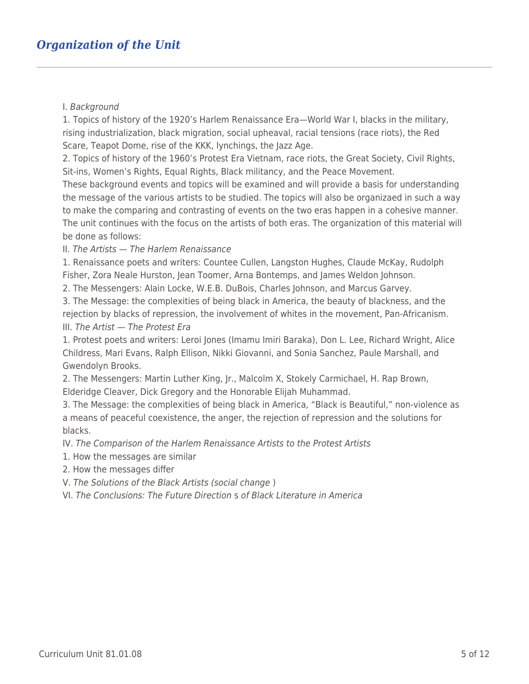### I. Background

1. Topics of history of the 1920's Harlem Renaissance Era—World War I, blacks in the military, rising industrialization, black migration, social upheaval, racial tensions (race riots), the Red Scare, Teapot Dome, rise of the KKK, lynchings, the Jazz Age.

2. Topics of history of the 1960's Protest Era Vietnam, race riots, the Great Society, Civil Rights, Sit-ins, Women's Rights, Equal Rights, Black militancy, and the Peace Movement.

These background events and topics will be examined and will provide a basis for understanding the message of the various artists to be studied. The topics will also be organizaed in such a way to make the comparing and contrasting of events on the two eras happen in a cohesive manner. The unit continues with the focus on the artists of both eras. The organization of this material will be done as follows:

II. The Artists — The Harlem Renaissance

1. Renaissance poets and writers: Countee Cullen, Langston Hughes, Claude McKay, Rudolph Fisher, Zora Neale Hurston, Jean Toomer, Arna Bontemps, and James Weldon Johnson.

2. The Messengers: Alain Locke, W.E.B. DuBois, Charles Johnson, and Marcus Garvey.

3. The Message: the complexities of being black in America, the beauty of blackness, and the rejection by blacks of repression, the involvement of whites in the movement, Pan-Africanism. III. The Artist — The Protest Era

1. Protest poets and writers: Leroi Jones (Imamu Imiri Baraka), Don L. Lee, Richard Wright, Alice Childress, Mari Evans, Ralph Ellison, Nikki Giovanni, and Sonia Sanchez, Paule Marshall, and Gwendolyn Brooks.

2. The Messengers: Martin Luther King, Jr., Malcolm X, Stokely Carmichael, H. Rap Brown, Elderidge Cleaver, Dick Gregory and the Honorable Elijah Muhammad.

3. The Message: the complexities of being black in America, "Black is Beautiful," non-violence as a means of peaceful coexistence, the anger, the rejection of repression and the solutions for blacks.

IV. The Comparison of the Harlem Renaissance Artists to the Protest Artists

- 1. How the messages are similar
- 2. How the messages differ
- V. The Solutions of the Black Artists (social change )

VI. The Conclusions: The Future Direction s of Black Literature in America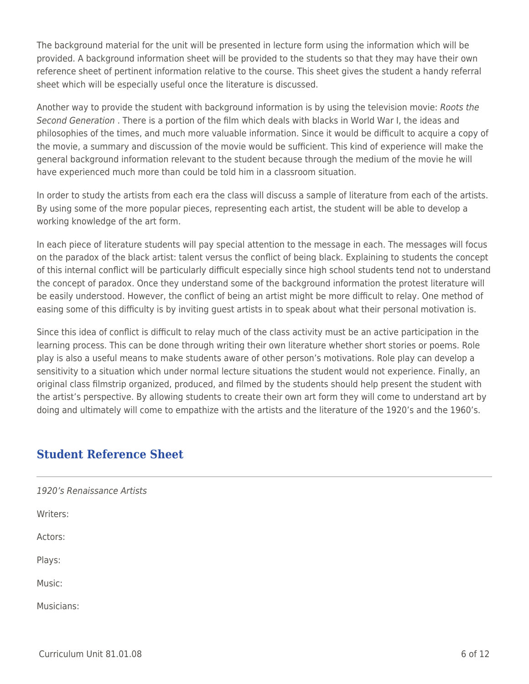The background material for the unit will be presented in lecture form using the information which will be provided. A background information sheet will be provided to the students so that they may have their own reference sheet of pertinent information relative to the course. This sheet gives the student a handy referral sheet which will be especially useful once the literature is discussed.

Another way to provide the student with background information is by using the television movie: Roots the Second Generation . There is a portion of the film which deals with blacks in World War I, the ideas and philosophies of the times, and much more valuable information. Since it would be difficult to acquire a copy of the movie, a summary and discussion of the movie would be sufficient. This kind of experience will make the general background information relevant to the student because through the medium of the movie he will have experienced much more than could be told him in a classroom situation.

In order to study the artists from each era the class will discuss a sample of literature from each of the artists. By using some of the more popular pieces, representing each artist, the student will be able to develop a working knowledge of the art form.

In each piece of literature students will pay special attention to the message in each. The messages will focus on the paradox of the black artist: talent versus the conflict of being black. Explaining to students the concept of this internal conflict will be particularly difficult especially since high school students tend not to understand the concept of paradox. Once they understand some of the background information the protest literature will be easily understood. However, the conflict of being an artist might be more difficult to relay. One method of easing some of this difficulty is by inviting guest artists in to speak about what their personal motivation is.

Since this idea of conflict is difficult to relay much of the class activity must be an active participation in the learning process. This can be done through writing their own literature whether short stories or poems. Role play is also a useful means to make students aware of other person's motivations. Role play can develop a sensitivity to a situation which under normal lecture situations the student would not experience. Finally, an original class filmstrip organized, produced, and filmed by the students should help present the student with the artist's perspective. By allowing students to create their own art form they will come to understand art by doing and ultimately will come to empathize with the artists and the literature of the 1920's and the 1960's.

# **Student Reference Sheet**

1920's Renaissance Artists Writers: Actors: Plays: Music: Musicians: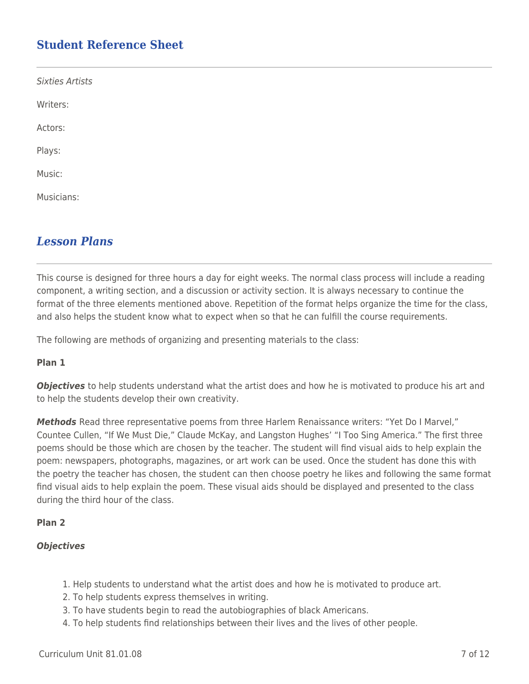# **Student Reference Sheet**

| <b>Sixties Artists</b> |  |  |
|------------------------|--|--|
| Writers:               |  |  |
| Actors:                |  |  |
| Plays:                 |  |  |
| Music:                 |  |  |
| Musicians:             |  |  |
|                        |  |  |

# *Lesson Plans*

This course is designed for three hours a day for eight weeks. The normal class process will include a reading component, a writing section, and a discussion or activity section. It is always necessary to continue the format of the three elements mentioned above. Repetition of the format helps organize the time for the class, and also helps the student know what to expect when so that he can fulfill the course requirements.

The following are methods of organizing and presenting materials to the class:

### **Plan 1**

**Objectives** to help students understand what the artist does and how he is motivated to produce his art and to help the students develop their own creativity.

*Methods* Read three representative poems from three Harlem Renaissance writers: "Yet Do I Marvel," Countee Cullen, "If We Must Die," Claude McKay, and Langston Hughes' "I Too Sing America." The first three poems should be those which are chosen by the teacher. The student will find visual aids to help explain the poem: newspapers, photographs, magazines, or art work can be used. Once the student has done this with the poetry the teacher has chosen, the student can then choose poetry he likes and following the same format find visual aids to help explain the poem. These visual aids should be displayed and presented to the class during the third hour of the class.

## **Plan 2**

## *Objectives*

- 1. Help students to understand what the artist does and how he is motivated to produce art.
- 2. To help students express themselves in writing.
- 3. To have students begin to read the autobiographies of black Americans.
- 4. To help students find relationships between their lives and the lives of other people.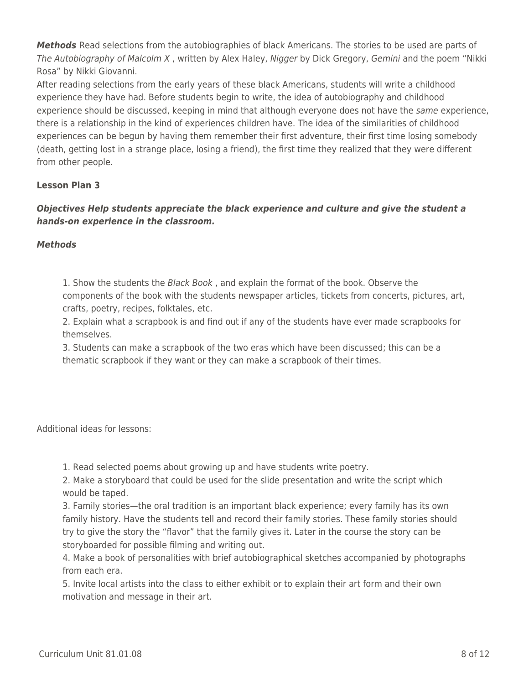*Methods* Read selections from the autobiographies of black Americans. The stories to be used are parts of The Autobiography of Malcolm X, written by Alex Haley, Nigger by Dick Gregory, Gemini and the poem "Nikki Rosa" by Nikki Giovanni.

After reading selections from the early years of these black Americans, students will write a childhood experience they have had. Before students begin to write, the idea of autobiography and childhood experience should be discussed, keeping in mind that although everyone does not have the same experience, there is a relationship in the kind of experiences children have. The idea of the similarities of childhood experiences can be begun by having them remember their first adventure, their first time losing somebody (death, getting lost in a strange place, losing a friend), the first time they realized that they were different from other people.

## **Lesson Plan 3**

## *Objectives Help students appreciate the black experience and culture and give the student a hands-on experience in the classroom.*

## *Methods*

1. Show the students the Black Book, and explain the format of the book. Observe the components of the book with the students newspaper articles, tickets from concerts, pictures, art, crafts, poetry, recipes, folktales, etc.

2. Explain what a scrapbook is and find out if any of the students have ever made scrapbooks for themselves.

3. Students can make a scrapbook of the two eras which have been discussed; this can be a thematic scrapbook if they want or they can make a scrapbook of their times.

Additional ideas for lessons:

1. Read selected poems about growing up and have students write poetry.

2. Make a storyboard that could be used for the slide presentation and write the script which would be taped.

3. Family stories—the oral tradition is an important black experience; every family has its own family history. Have the students tell and record their family stories. These family stories should try to give the story the "flavor" that the family gives it. Later in the course the story can be storyboarded for possible filming and writing out.

4. Make a book of personalities with brief autobiographical sketches accompanied by photographs from each era.

5. Invite local artists into the class to either exhibit or to explain their art form and their own motivation and message in their art.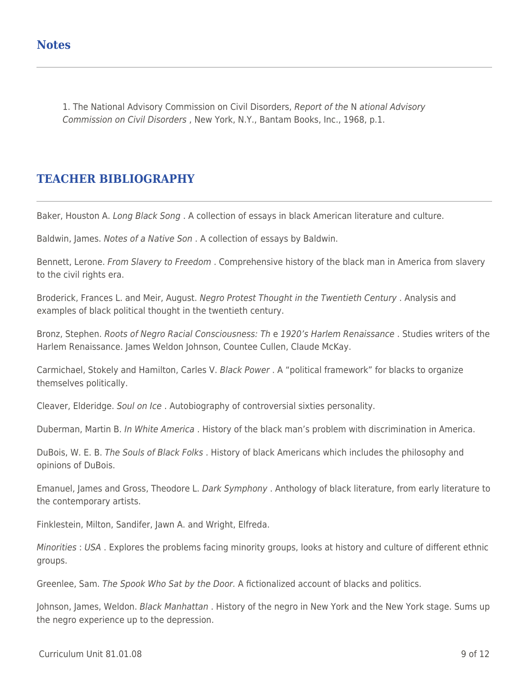1. The National Advisory Commission on Civil Disorders, Report of the N ational Advisory Commission on Civil Disorders , New York, N.Y., Bantam Books, Inc., 1968, p.1.

# **TEACHER BIBLIOGRAPHY**

Baker, Houston A. Long Black Song. A collection of essays in black American literature and culture.

Baldwin, James. Notes of a Native Son . A collection of essays by Baldwin.

Bennett, Lerone. From Slavery to Freedom. Comprehensive history of the black man in America from slavery to the civil rights era.

Broderick, Frances L. and Meir, August. Negro Protest Thought in the Twentieth Century. Analysis and examples of black political thought in the twentieth century.

Bronz, Stephen. Roots of Negro Racial Consciousness: Th e 1920's Harlem Renaissance. Studies writers of the Harlem Renaissance. James Weldon Johnson, Countee Cullen, Claude McKay.

Carmichael, Stokely and Hamilton, Carles V. Black Power . A "political framework" for blacks to organize themselves politically.

Cleaver, Elderidge. Soul on Ice . Autobiography of controversial sixties personality.

Duberman, Martin B. In White America. History of the black man's problem with discrimination in America.

DuBois, W. E. B. The Souls of Black Folks. History of black Americans which includes the philosophy and opinions of DuBois.

Emanuel, James and Gross, Theodore L. Dark Symphony . Anthology of black literature, from early literature to the contemporary artists.

Finklestein, Milton, Sandifer, Jawn A. and Wright, Elfreda.

Minorities : USA . Explores the problems facing minority groups, looks at history and culture of different ethnic groups.

Greenlee, Sam. The Spook Who Sat by the Door. A fictionalized account of blacks and politics.

Johnson, James, Weldon. Black Manhattan . History of the negro in New York and the New York stage. Sums up the negro experience up to the depression.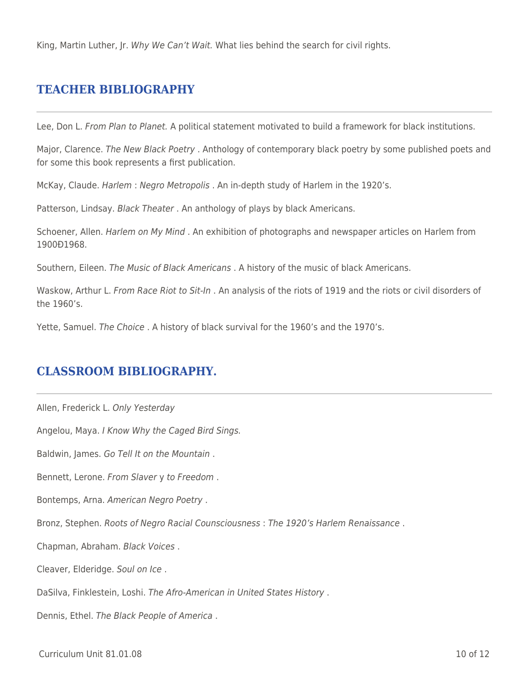King, Martin Luther, Jr. Why We Can't Wait. What lies behind the search for civil rights.

## **TEACHER BIBLIOGRAPHY**

Lee, Don L. From Plan to Planet. A political statement motivated to build a framework for black institutions.

Major, Clarence. The New Black Poetry . Anthology of contemporary black poetry by some published poets and for some this book represents a first publication.

McKay, Claude. Harlem : Negro Metropolis . An in-depth study of Harlem in the 1920's.

Patterson, Lindsay. Black Theater. An anthology of plays by black Americans.

Schoener, Allen. Harlem on My Mind . An exhibition of photographs and newspaper articles on Harlem from 1900Ð1968.

Southern, Eileen. The Music of Black Americans . A history of the music of black Americans.

Waskow, Arthur L. From Race Riot to Sit-In . An analysis of the riots of 1919 and the riots or civil disorders of the 1960's.

Yette, Samuel. The Choice . A history of black survival for the 1960's and the 1970's.

# **CLASSROOM BIBLIOGRAPHY.**

Allen, Frederick L. Only Yesterday

Angelou, Maya. I Know Why the Caged Bird Sings.

Baldwin, James. Go Tell It on the Mountain .

Bennett, Lerone. From Slaver y to Freedom .

Bontemps, Arna. American Negro Poetry .

Bronz, Stephen. Roots of Negro Racial Counsciousness : The 1920's Harlem Renaissance .

Chapman, Abraham. Black Voices .

Cleaver, Elderidge. Soul on Ice .

DaSilva, Finklestein, Loshi. The Afro-American in United States History .

Dennis, Ethel. The Black People of America .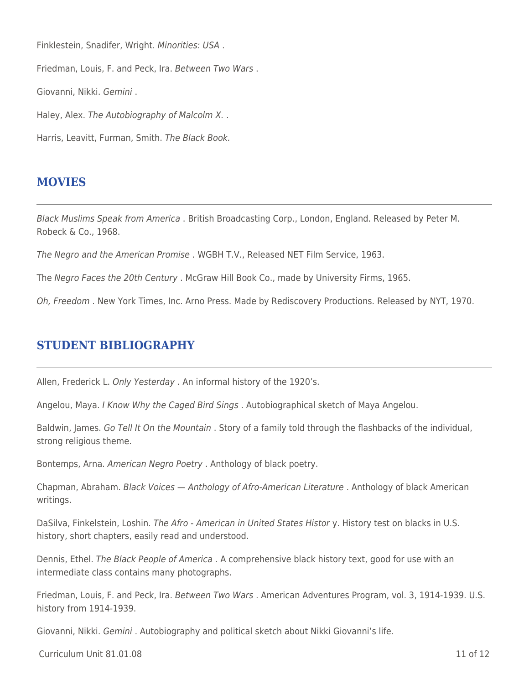Finklestein, Snadifer, Wright. Minorities: USA . Friedman, Louis, F. and Peck, Ira. Between Two Wars . Giovanni, Nikki. Gemini . Haley, Alex. The Autobiography of Malcolm X. . Harris, Leavitt, Furman, Smith. The Black Book.

# **MOVIES**

Black Muslims Speak from America . British Broadcasting Corp., London, England. Released by Peter M. Robeck & Co., 1968.

The Negro and the American Promise . WGBH T.V., Released NET Film Service, 1963.

The Negro Faces the 20th Century . McGraw Hill Book Co., made by University Firms, 1965.

Oh, Freedom . New York Times, Inc. Arno Press. Made by Rediscovery Productions. Released by NYT, 1970.

# **STUDENT BIBLIOGRAPHY**

Allen, Frederick L. Only Yesterday . An informal history of the 1920's.

Angelou, Maya. I Know Why the Caged Bird Sings . Autobiographical sketch of Maya Angelou.

Baldwin, James. Go Tell It On the Mountain. Story of a family told through the flashbacks of the individual, strong religious theme.

Bontemps, Arna. American Negro Poetry . Anthology of black poetry.

Chapman, Abraham. Black Voices — Anthology of Afro-American Literature . Anthology of black American writings.

DaSilva, Finkelstein, Loshin. The Afro - American in United States Histor y. History test on blacks in U.S. history, short chapters, easily read and understood.

Dennis, Ethel. The Black People of America . A comprehensive black history text, good for use with an intermediate class contains many photographs.

Friedman, Louis, F. and Peck, Ira. Between Two Wars. American Adventures Program, vol. 3, 1914-1939. U.S. history from 1914-1939.

Giovanni, Nikki. Gemini . Autobiography and political sketch about Nikki Giovanni's life.

 $C$ urriculum Unit 81.01.08  $\qquad$  11 of 12